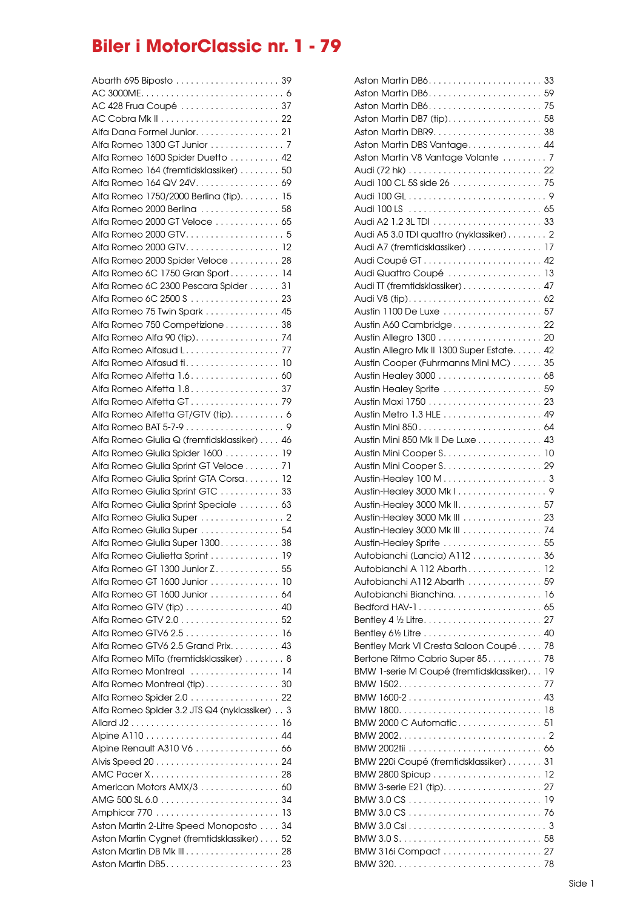## **Biler i MotorClassic nr. 1 - 79**

| Abarth 695 Biposto  39                       |     |
|----------------------------------------------|-----|
|                                              |     |
| AC 428 Frua Coupé  37                        |     |
|                                              |     |
|                                              |     |
| Alfa Dana Formel Junior. 21                  |     |
|                                              |     |
| Alfa Romeo 1600 Spider Duetto  42            |     |
|                                              |     |
| Alfa Romeo 164 (fremtidsklassiker) 50        |     |
| Alfa Romeo 164 QV 24V. 69                    |     |
| Alfa Romeo 1750/2000 Berlina (tip). 15       |     |
| Alfa Romeo 2000 Berlina  58                  |     |
| Alfa Romeo 2000 GT Veloce 65                 |     |
|                                              |     |
|                                              |     |
| Alfa Romeo 2000 GTV 12                       |     |
| Alfa Romeo 2000 Spider Veloce 28             |     |
| Alfa Romeo 6C 1750 Gran Sport 14             |     |
| Alfa Romeo 6C 2300 Pescara Spider 31         |     |
|                                              |     |
| Alfa Romeo 6C 2500 S 23                      |     |
| Alfa Romeo 75 Twin Spark  45                 |     |
| Alfa Romeo 750 Competizione 38               |     |
|                                              |     |
|                                              |     |
|                                              |     |
|                                              |     |
| Alfa Romeo Alfetta 1.6. 60                   |     |
| Alfa Romeo Alfetta 1.8. 37                   |     |
|                                              |     |
|                                              |     |
| Alfa Romeo Alfetta GT/GTV (tip). 6           |     |
|                                              |     |
| Alfa Romeo Giulia Q (fremtidsklassiker) 46   |     |
| Alfa Romeo Giulia Spider 1600 19             |     |
| Alfa Romeo Giulia Sprint GT Veloce 71        |     |
|                                              |     |
| Alfa Romeo Giulia Sprint GTA Corsa 12        |     |
| Alfa Romeo Giulia Sprint GTC 33              |     |
| Alfa Romeo Giulia Sprint Speciale  63        |     |
| Alfa Romeo Giulia Super 2                    |     |
| Alfa Romeo Giulia Super  54                  |     |
|                                              |     |
| Alfa Romeo Giulia Super 1300 38              |     |
| Alfa Romeo Giulietta Sprint                  | -19 |
| Alfa Romeo GT 1300 Junior Z 55               |     |
| Alfa Romeo GT 1600 Junior 10                 |     |
|                                              |     |
| Alfa Romeo GT 1600 Junior 64                 |     |
| Alfa Romeo GTV (tip) 40                      |     |
|                                              |     |
|                                              |     |
| Alfa Romeo GTV6 2.5 Grand Prix. 43           |     |
| Alfa Romeo MiTo (fremtidsklassiker) 8        |     |
|                                              |     |
| Alfa Romeo Montreal  14                      |     |
| Alfa Romeo Montreal (tip)30                  |     |
| Alfa Romeo Spider 2.0 22                     |     |
| Alfa Romeo Spider 3.2 JTS Q4 (nyklassiker) 3 |     |
|                                              |     |
|                                              |     |
|                                              |     |
| Alpine Renault A310 V6 66                    |     |
|                                              |     |
|                                              |     |
| American Motors AMX/3 60                     |     |
|                                              |     |
|                                              |     |
|                                              |     |
| Aston Martin 2-Litre Speed Monoposto 34      |     |
| Aston Martin Cygnet (fremtidsklassiker) 52   |     |
|                                              |     |
|                                              |     |
|                                              |     |

| Aston Martin DB7 (tip) 58                  |    |
|--------------------------------------------|----|
|                                            |    |
| Aston Martin DBS Vantage 44                |    |
| Aston Martin V8 Vantage Volante  7         |    |
|                                            |    |
| Audi 100 CL 5S side 26  75                 |    |
|                                            |    |
|                                            |    |
|                                            |    |
| Audi A5 3.0 TDI quattro (nyklassiker) 2    |    |
| Audi A7 (fremtidsklassiker)  17            |    |
|                                            |    |
| Audi Quattro Coupé  13                     |    |
| Audi TT (fremtidsklassiker) 47             |    |
|                                            |    |
|                                            |    |
| Austin A60 Cambridge 22                    |    |
|                                            |    |
| Austin Allegro Mk II 1300 Super Estate. 42 |    |
| Austin Cooper (Fuhrmanns Mini MC) 35       |    |
|                                            |    |
|                                            |    |
| Austin Healey Sprite  59                   |    |
|                                            |    |
|                                            |    |
|                                            |    |
| Austin Mini 850 Mk II De Luxe 43           |    |
|                                            |    |
|                                            |    |
|                                            |    |
|                                            |    |
| Austin-Healey 3000 Mk II. 57               |    |
| Austin-Healey 3000 Mk III 23               |    |
| Austin-Healey 3000 Mk III 74               |    |
| Austin-Healey Sprite  55                   |    |
| Autobianchi (Lancia) A112 36               |    |
| Autobianchi A 112 Abarth                   | 12 |
| Autobianchi A112 Abarth  59                |    |
| Autobianchi Bianchina 16                   |    |
|                                            |    |
|                                            |    |
|                                            |    |
| Bentley Mark VI Cresta Saloon Coupé 78     |    |
| Bertone Ritmo Cabrio Super 85.             | 78 |
| BMW 1-serie M Coupé (fremtidsklassiker) 19 |    |
|                                            |    |
| BMW 1600-2 43                              |    |
|                                            |    |
| BMW 2000 C Automatic 51                    |    |
|                                            |    |
|                                            |    |
|                                            |    |
| BMW 220i Coupé (fremtidsklassiker) 31      |    |
|                                            |    |
|                                            |    |
|                                            |    |
|                                            |    |
|                                            |    |
|                                            |    |
|                                            |    |
|                                            |    |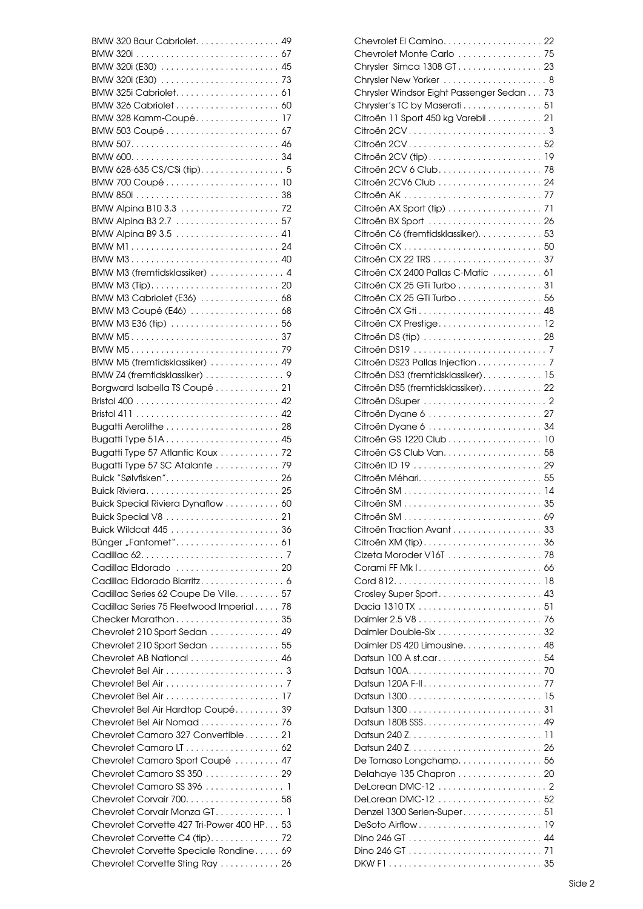| BMW 320 Baur Cabriolet. 49                                                 |  |
|----------------------------------------------------------------------------|--|
|                                                                            |  |
| BMW 320i (E30)  45                                                         |  |
|                                                                            |  |
|                                                                            |  |
|                                                                            |  |
| BMW 328 Kamm-Coupé 17                                                      |  |
| BMW 503 Coupé 67                                                           |  |
|                                                                            |  |
|                                                                            |  |
| BMW 628-635 CS/CSi (tip). 5                                                |  |
| BMW 700 Coupé 10                                                           |  |
|                                                                            |  |
|                                                                            |  |
|                                                                            |  |
|                                                                            |  |
|                                                                            |  |
| BMW M1 24                                                                  |  |
| BMW M3 40                                                                  |  |
| BMW M3 (fremtidsklassiker)  4                                              |  |
|                                                                            |  |
| BMW M3 Cabriolet (E36)  68                                                 |  |
| BMW M3 Coupé (E46)  68                                                     |  |
|                                                                            |  |
|                                                                            |  |
|                                                                            |  |
| BMW M5 (fremtidsklassiker)  49                                             |  |
| BMW Z4 (fremtidsklassiker) 9                                               |  |
| Borgward Isabella TS Coupé 21                                              |  |
|                                                                            |  |
|                                                                            |  |
|                                                                            |  |
| Bugatti Type 51A 45                                                        |  |
| Bugatti Type 57 Atlantic Koux 72                                           |  |
| Bugatti Type 57 SC Atalante 79                                             |  |
| Buick "Sølvfisken" 26                                                      |  |
|                                                                            |  |
| Buick Special Riviera Dynaflow 60                                          |  |
|                                                                            |  |
|                                                                            |  |
|                                                                            |  |
|                                                                            |  |
|                                                                            |  |
| Cadillac Eldorado  20                                                      |  |
| Cadillac Eldorado Biarritz 6                                               |  |
| Cadillac Series 62 Coupe De Ville 57                                       |  |
| Cadillac Series 75 Fleetwood Imperial 78                                   |  |
| Checker Marathon 35                                                        |  |
| Chevrolet 210 Sport Sedan  49                                              |  |
| Chevrolet 210 Sport Sedan  55                                              |  |
| Chevrolet AB National  46                                                  |  |
|                                                                            |  |
|                                                                            |  |
|                                                                            |  |
| Chevrolet Bel Air Hardtop Coupé 39                                         |  |
| Chevrolet Bel Air Nomad 76                                                 |  |
| Chevrolet Camaro 327 Convertible 21                                        |  |
|                                                                            |  |
|                                                                            |  |
|                                                                            |  |
| Chevrolet Camaro Sport Coupé  47                                           |  |
| Chevrolet Camaro SS 350 29                                                 |  |
| Chevrolet Camaro SS 396 1                                                  |  |
|                                                                            |  |
| Chevrolet Corvair Monza GT1                                                |  |
| Chevrolet Corvette 427 Tri-Power 400 HP. 53                                |  |
| Chevrolet Corvette C4 (tip). 72                                            |  |
| Chevrolet Corvette Speciale Rondine 69<br>Chevrolet Corvette Sting Ray  26 |  |

| Chevrolet Monte Carlo  75                 |    |
|-------------------------------------------|----|
| Chrysler Simca 1308 GT 23                 |    |
| Chrysler New Yorker  8                    |    |
| Chrysler Windsor Eight Passenger Sedan 73 |    |
| Chrysler's TC by Maserati 51              |    |
| Citroën 11 Sport 450 kg Varebil 21        |    |
|                                           |    |
| Citroën 2CV 52                            |    |
|                                           |    |
| Citroën 2CV 6 Club 78                     |    |
|                                           |    |
|                                           |    |
|                                           |    |
| Citroën BX Sport  26                      |    |
| Citroën C6 (fremtidsklassiker). 53        |    |
|                                           |    |
| Citroën CX 50                             |    |
|                                           |    |
| Citroën CX 2400 Pallas C-Matic  61        |    |
| Citroën CX 25 GTi Turbo 31                |    |
| Citroën CX 25 GTi Turbo 56                |    |
|                                           |    |
| Citroën CX Prestige 12                    |    |
| Citroën DS (tip)  28                      |    |
|                                           |    |
| Citroën DS23 Pallas Injection 7           |    |
| Citroën DS3 (fremtidsklassiker) 15        |    |
| Citroën DS5 (fremtidsklassiker) 22        |    |
|                                           |    |
|                                           |    |
|                                           |    |
| Citroën GS 1220 Club 10                   |    |
|                                           |    |
|                                           |    |
| Citroën Méhari 55                         |    |
|                                           |    |
|                                           |    |
|                                           |    |
|                                           |    |
| Citroën Traction Avant  33                |    |
| Citroën XM (tip) 36                       |    |
| Cizeta Moroder V16T 78                    |    |
|                                           |    |
|                                           |    |
| Crosley Super Sport 43                    |    |
|                                           |    |
|                                           | 76 |
|                                           |    |
| Daimler DS 420 Limousine 48               |    |
| Datsun 100 A st.car 54                    |    |
|                                           |    |
| Datsun 120A F-II 77                       |    |
| Datsun 1300 15                            |    |
|                                           |    |
| Datsun 180B SSS 49                        |    |
|                                           |    |
|                                           |    |
|                                           |    |
| De Tomaso Longchamp 56                    |    |
| Delahaye 135 Chapron  20                  |    |
| DeLorean DMC-12  2                        |    |
| DeLorean DMC-12  52                       |    |
| Denzel 1300 Serien-Super51                |    |
|                                           |    |
|                                           |    |
|                                           |    |
|                                           |    |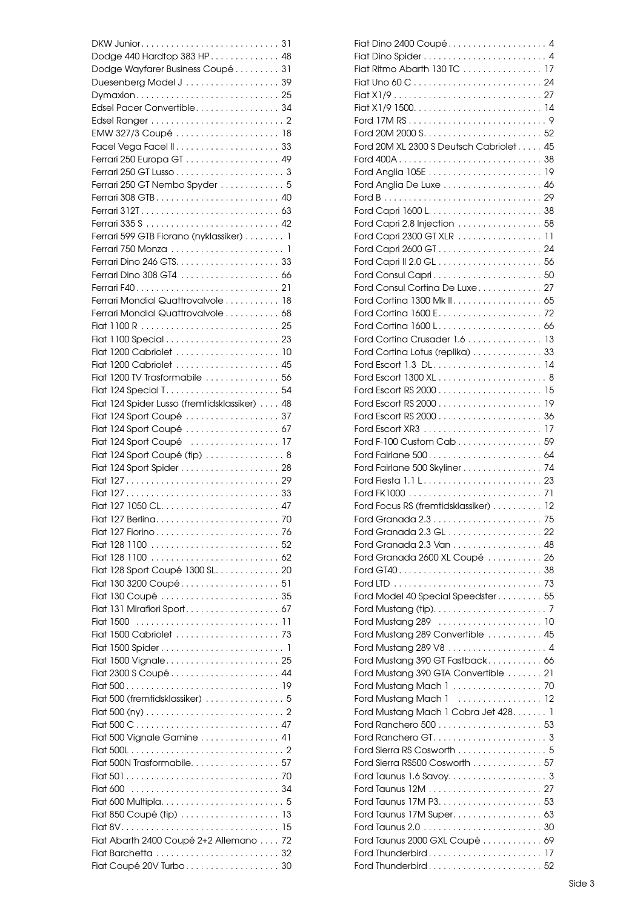| DKW Junior31                                  |  |
|-----------------------------------------------|--|
| Dodge 440 Hardtop 383 HP. 48                  |  |
| Dodge Wayfarer Business Coupé 31              |  |
|                                               |  |
| Dymaxion 25                                   |  |
| Edsel Pacer Convertible 34                    |  |
|                                               |  |
|                                               |  |
| EMW 327/3 Coupé  18                           |  |
|                                               |  |
|                                               |  |
|                                               |  |
| Ferrari 250 GT Nembo Spyder  5                |  |
| Ferrari 308 GTB 40                            |  |
|                                               |  |
|                                               |  |
| Ferrari 599 GTB Fiorano (nyklassiker) 1       |  |
|                                               |  |
|                                               |  |
|                                               |  |
|                                               |  |
| Ferrari Mondial Quattrovalvole  18            |  |
|                                               |  |
| Ferrari Mondial Quattrovalvole 68             |  |
|                                               |  |
|                                               |  |
| Fiat 1200 Cabriolet  10                       |  |
| Fiat 1200 Cabriolet  45                       |  |
| Fiat 1200 TV Trasformabile  56                |  |
|                                               |  |
| Fiat 124 Spider Lusso (fremtidsklassiker)  48 |  |
| Fiat 124 Sport Coupé  37                      |  |
| Fiat 124 Sport Coupé  67                      |  |
| Fiat 124 Sport Coupé  17                      |  |
| Fiat 124 Sport Coupé (tip)  8                 |  |
|                                               |  |
|                                               |  |
|                                               |  |
|                                               |  |
|                                               |  |
|                                               |  |
| Fiat 127 Fiorino 76                           |  |
|                                               |  |
|                                               |  |
| Fiat 128 Sport Coupé 1300 SL. 20              |  |
| Fiat 130 3200 Coupé 51                        |  |
| Fiat 130 Coupé  35                            |  |
| Fiat 131 Mirafiori Sport 67                   |  |
|                                               |  |
| Fiat 1500 Cabriolet  73                       |  |
|                                               |  |
|                                               |  |
| Fiat 1500 Vignale 25                          |  |
|                                               |  |
|                                               |  |
| Fiat 500 (fremtidsklassiker)  5               |  |
|                                               |  |
|                                               |  |
| Fiat 500 Vignale Gamine 41                    |  |
|                                               |  |
| Fiat 500N Trasformabile 57                    |  |
|                                               |  |
|                                               |  |
|                                               |  |
|                                               |  |
|                                               |  |
| Fiat Abarth 2400 Coupé 2+2 Allemano 72        |  |
|                                               |  |
|                                               |  |
| Fiat Coupé 20V Turbo 30                       |  |

| Fiat Dino 2400 Coupé 4                  |  |
|-----------------------------------------|--|
|                                         |  |
| Fiat Ritmo Abarth 130 TC  17            |  |
|                                         |  |
|                                         |  |
|                                         |  |
|                                         |  |
|                                         |  |
| Ford 20M XL 2300 S Deutsch Cabriolet 45 |  |
|                                         |  |
|                                         |  |
| Ford Anglia De Luxe 46                  |  |
|                                         |  |
|                                         |  |
|                                         |  |
| Ford Capri 2.8 Injection  58            |  |
| Ford Capri 2300 GT XLR 11               |  |
|                                         |  |
|                                         |  |
|                                         |  |
| Ford Consul Cortina De Luxe 27          |  |
| Ford Cortina 1300 Mk II. 65             |  |
| Ford Cortina 1600 E 72                  |  |
| Ford Cortina 1600 L 66                  |  |
| Ford Cortina Crusader 1.6 13            |  |
| Ford Cortina Lotus (replika) 33         |  |
| Ford Escort 1.3 DL 14                   |  |
|                                         |  |
|                                         |  |
|                                         |  |
|                                         |  |
|                                         |  |
| Ford F-100 Custom Cab 59                |  |
|                                         |  |
| Ford Fairlane 500 Skyliner 74           |  |
|                                         |  |
|                                         |  |
|                                         |  |
| Ford Focus RS (fremtidsklassiker) 12    |  |
|                                         |  |
|                                         |  |
| Ford Granada 2.3 Van 48                 |  |
| Ford Granada 2600 XL Coupé  26          |  |
|                                         |  |
|                                         |  |
| Ford Model 40 Special Speedster 55      |  |
|                                         |  |
|                                         |  |
| Ford Mustang 289 Convertible 45         |  |
|                                         |  |
| Ford Mustang 390 GT Fastback 66         |  |
| Ford Mustang 390 GTA Convertible  21    |  |
| Ford Mustang Mach 1  70                 |  |
| Ford Mustang Mach 1  12                 |  |
| Ford Mustang Mach 1 Cobra Jet 428. 1    |  |
|                                         |  |
|                                         |  |
|                                         |  |
|                                         |  |
| Ford Sierra RS500 Cosworth  57          |  |
|                                         |  |
|                                         |  |
|                                         |  |
| Ford Taunus 17M Super 63                |  |
|                                         |  |
| Ford Taunus 2000 GXL Coupé  69          |  |
|                                         |  |
| Ford Thunderbird 52                     |  |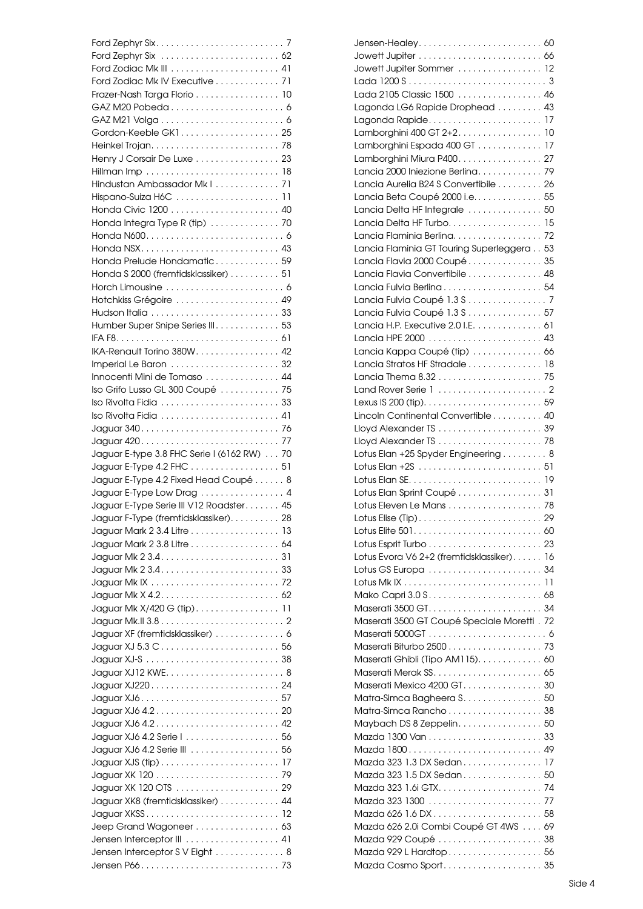| Ford Zodiac Mk IV Executive 71             |  |
|--------------------------------------------|--|
| Frazer-Nash Targa Florio 10                |  |
|                                            |  |
|                                            |  |
| Gordon-Keeble GK1 25                       |  |
|                                            |  |
| Henry J Corsair De Luxe 23                 |  |
|                                            |  |
| Hindustan Ambassador Mkl 71                |  |
|                                            |  |
|                                            |  |
|                                            |  |
| Honda Integra Type R (tip)  70             |  |
|                                            |  |
|                                            |  |
| Honda Prelude Hondamatic 59                |  |
| Honda S 2000 (fremtidsklassiker) 51        |  |
|                                            |  |
| Hotchkiss Grégoire  49                     |  |
|                                            |  |
| Humber Super Snipe Series III. 53          |  |
|                                            |  |
| IKA-Renault Torino 380W. 42                |  |
|                                            |  |
| Innocenti Mini de Tomaso  44               |  |
| Iso Grifo Lusso GL 300 Coupé  75           |  |
| Iso Rivolta Fidia  33                      |  |
| Iso Rivolta Fidia  41                      |  |
|                                            |  |
|                                            |  |
|                                            |  |
|                                            |  |
| Jaguar E-type 3.8 FHC Serie I (6162 RW) 70 |  |
| Jaguar E-Type 4.2 FHC 51                   |  |
| Jaguar E-Type 4.2 Fixed Head Coupé 8       |  |
| Jaguar E-Type Low Drag 4                   |  |
| Jaguar E-Type Serie III V12 Roadster 45    |  |
| Jaguar F-Type (fremtidsklassiker). 28      |  |
| Jaguar Mark 2 3.4 Litre 13                 |  |
| Jaguar Mark 2 3.8 Litre 64                 |  |
|                                            |  |
|                                            |  |
|                                            |  |
|                                            |  |
| Jaguar Mk X/420 G (tip) 11                 |  |
|                                            |  |
| Jaguar XF (fremtidsklassiker) 6            |  |
|                                            |  |
|                                            |  |
|                                            |  |
|                                            |  |
|                                            |  |
|                                            |  |
|                                            |  |
|                                            |  |
|                                            |  |
|                                            |  |
|                                            |  |
|                                            |  |
|                                            |  |
| Jaguar XK8 (fremtidsklassiker) 44          |  |
|                                            |  |
| Jeep Grand Wagoneer 63                     |  |
|                                            |  |
| Jensen Interceptor SV Eight  8             |  |

| Jowett Jupiter Sommer  12                   |  |
|---------------------------------------------|--|
|                                             |  |
| Lada 2105 Classic 1500 46                   |  |
| Lagonda LG6 Rapide Drophead  43             |  |
|                                             |  |
|                                             |  |
| Lamborghini 400 GT 2+2. 10                  |  |
| Lamborghini Espada 400 GT 17                |  |
| Lamborghini Miura P400. 27                  |  |
| Lancia 2000 Iniezione Berlina 79            |  |
| Lancia Aurelia B24 S Convertibile 26        |  |
| Lancia Beta Coupé 2000 i.e. 55              |  |
| Lancia Delta HF Integrale  50               |  |
| Lancia Delta HF Turbo. 15                   |  |
| Lancia Flaminia Berlina 72                  |  |
|                                             |  |
| Lancia Flaminia GT Touring Superleggera 53  |  |
| Lancia Flavia 2000 Coupé  35                |  |
| Lancia Flavia Convertibile 48               |  |
| Lancia Fulvia Berlina 54                    |  |
| Lancia Fulvia Coupé 1.3 S 7                 |  |
| Lancia Fulvia Coupé 1.3 S 57                |  |
| Lancia H.P. Executive 2.0 I.E. 61           |  |
|                                             |  |
|                                             |  |
| Lancia Kappa Coupé (tip)  66                |  |
| Lancia Stratos HF Stradale 18               |  |
|                                             |  |
|                                             |  |
|                                             |  |
| Lincoln Continental Convertible 40          |  |
| Lloyd Alexander TS  39                      |  |
|                                             |  |
|                                             |  |
| Lotus Elan +25 Spyder Engineering 8         |  |
|                                             |  |
|                                             |  |
| Lotus Elan Sprint Coupé 31                  |  |
| Lotus Eleven Le Mans 78                     |  |
|                                             |  |
|                                             |  |
|                                             |  |
|                                             |  |
| Lotus Evora V6 2+2 (fremtidsklassiker) 16   |  |
|                                             |  |
|                                             |  |
|                                             |  |
|                                             |  |
| Maserati 3500 GT Coupé Speciale Moretti. 72 |  |
|                                             |  |
|                                             |  |
|                                             |  |
| Maserati Ghibli (Tipo AM115). 60            |  |
|                                             |  |
| Maserati Mexico 4200 GT. 30                 |  |
| Matra-Simca Bagheera S. 50                  |  |
| Matra-Simca Rancho 38                       |  |
| Maybach DS 8 Zeppelin. 50                   |  |
|                                             |  |
|                                             |  |
| Mazda 1800 49                               |  |
| Mazda 323 1.3 DX Sedan 17                   |  |
| Mazda 323 1.5 DX Sedan 50                   |  |
|                                             |  |
|                                             |  |
|                                             |  |
| Mazda 626 2.0i Combi Coupé GT 4WS  69       |  |
| Mazda 929 Coupé  38                         |  |
| Mazda 929 L Hardtop 56                      |  |
|                                             |  |
| Mazda Cosmo Sport 35                        |  |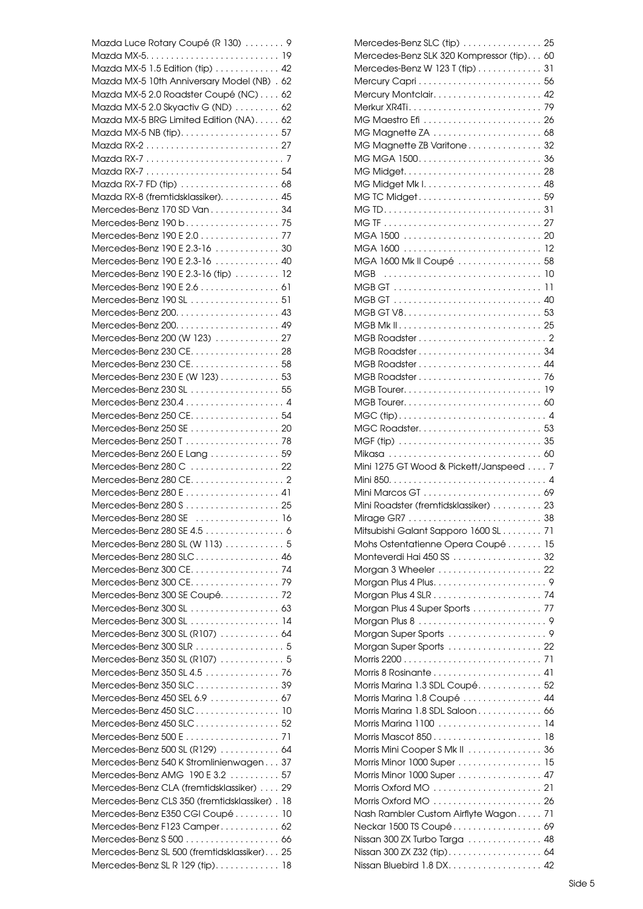| Mazda Luce Rotary Coupé (R 130) 9             |  |
|-----------------------------------------------|--|
|                                               |  |
| Mazda MX-5 1.5 Edition (tip) 42               |  |
| Mazda MX-5 10th Anniversary Model (NB) . 62   |  |
| Mazda MX-5 2.0 Roadster Coupé (NC) 62         |  |
| Mazda MX-5 2.0 Skyactiv G (ND) 62             |  |
| Mazda MX-5 BRG Limited Edition (NA) 62        |  |
|                                               |  |
|                                               |  |
|                                               |  |
|                                               |  |
|                                               |  |
|                                               |  |
| Mazda RX-8 (fremtidsklassiker). 45            |  |
| Mercedes-Benz 170 SD Van 34                   |  |
| Mercedes-Benz 190 b. 75                       |  |
| Mercedes-Benz 190 E 2.0 77                    |  |
|                                               |  |
| Mercedes-Benz 190 E 2.3-16 30                 |  |
| Mercedes-Benz 190 E 2.3-16 40                 |  |
| Mercedes-Benz 190 E 2.3-16 (tip)  12          |  |
| Mercedes-Benz 190 E 2.6 61                    |  |
| Mercedes-Benz 190 SL  51                      |  |
|                                               |  |
|                                               |  |
| Mercedes-Benz 200 (W 123)  27                 |  |
| Mercedes-Benz 230 CE. 28                      |  |
|                                               |  |
| Mercedes-Benz 230 CE. 58                      |  |
| Mercedes-Benz 230 E (W 123) 53                |  |
| Mercedes-Benz 230 SL 55                       |  |
|                                               |  |
| Mercedes-Benz 250 CE. 54                      |  |
| Mercedes-Benz 250 SE  20                      |  |
|                                               |  |
|                                               |  |
| Mercedes-Benz 260 E Lang 59                   |  |
| Mercedes-Benz 280 C  22                       |  |
|                                               |  |
| Mercedes-Benz 280 E  41                       |  |
|                                               |  |
| Mercedes-Benz 280 SE  16                      |  |
| Mercedes-Benz 280 SE 4.5 6                    |  |
| Mercedes-Benz 280 SL (W 113)  5               |  |
|                                               |  |
| Mercedes-Benz 280 SLC 46                      |  |
| Mercedes-Benz 300 CE. 74                      |  |
| Mercedes-Benz 300 CE. 79                      |  |
| Mercedes-Benz 300 SE Coupé 72                 |  |
|                                               |  |
| Mercedes-Benz 300 SL 14                       |  |
| Mercedes-Benz 300 SL (R107)  64               |  |
| Mercedes-Benz 300 SLR 5                       |  |
|                                               |  |
| Mercedes-Benz 350 SL (R107)  5                |  |
| Mercedes-Benz 350 SL 4.5 76                   |  |
| Mercedes-Benz 350 SLC 39                      |  |
| Mercedes-Benz 450 SEL 6.9 67                  |  |
| Mercedes-Benz 450 SLC 10                      |  |
| Mercedes-Benz 450 SLC 52                      |  |
|                                               |  |
| Mercedes-Benz 500 SL (R129) 64                |  |
|                                               |  |
| Mercedes-Benz 540 K Stromlinienwagen 37       |  |
| Mercedes-Benz AMG 190 E 3.2 57                |  |
| Mercedes-Benz CLA (fremtidsklassiker)  29     |  |
| Mercedes-Benz CLS 350 (fremtidsklassiker). 18 |  |
| Mercedes-Benz E350 CGI Coupé 10               |  |
| Mercedes-Benz F123 Camper 62                  |  |
|                                               |  |
| Mercedes-Benz SL 500 (fremtidsklassiker) 25   |  |
|                                               |  |
| Mercedes-Benz SL R 129 (tip) 18               |  |

| Mercedes-Benz SLC (tip)  25                              |    |
|----------------------------------------------------------|----|
| Mercedes-Benz SLK 320 Kompressor (tip) 60                |    |
| Mercedes-Benz W 123 T (tip) 31                           |    |
| Mercury Capri 56                                         |    |
|                                                          |    |
|                                                          |    |
|                                                          |    |
| MG Magnette ZA  68                                       |    |
| MG Magnette ZB Varitone 32                               |    |
|                                                          |    |
|                                                          |    |
|                                                          |    |
| MG TC Midget 59                                          |    |
|                                                          |    |
|                                                          |    |
|                                                          |    |
|                                                          |    |
|                                                          |    |
| MGA 1600 Mk II Coupé  58                                 |    |
|                                                          |    |
|                                                          |    |
|                                                          |    |
|                                                          |    |
|                                                          |    |
|                                                          |    |
|                                                          |    |
|                                                          |    |
|                                                          |    |
|                                                          |    |
|                                                          |    |
|                                                          |    |
|                                                          |    |
| MGC Roadster 53                                          |    |
|                                                          |    |
|                                                          |    |
|                                                          |    |
| Mini 1275 GT Wood & Pickett/Janspeed  7                  |    |
|                                                          |    |
|                                                          |    |
| Mini Roadster (fremtidsklassiker)  23                    |    |
|                                                          |    |
|                                                          |    |
| Mitsubishi Galant Sapporo 1600 SL 71                     |    |
| Mohs Ostentatienne Opera Coupé 15                        |    |
| Monteverdi Hai 450 SS 32                                 |    |
| Morgan 3 Wheeler  22                                     |    |
|                                                          |    |
|                                                          |    |
| Morgan Plus 4 Super Sports  77                           |    |
|                                                          |    |
|                                                          |    |
| Morgan Super Sports 22                                   |    |
|                                                          |    |
|                                                          |    |
| Morris Marina 1.3 SDL Coupé 52                           |    |
| Morris Marina 1.8 Coupé  44                              |    |
| Morris Marina 1.8 SDL Saloon 66                          |    |
|                                                          |    |
|                                                          | 18 |
| Morris Mini Cooper S Mk II 36                            |    |
| Morris Minor 1000 Super 15                               |    |
|                                                          |    |
| Morris Minor 1000 Super 47                               |    |
|                                                          |    |
| Morris Oxford MO  26                                     |    |
| Nash Rambler Custom Airflyte Wagon 71                    |    |
| Neckar 1500 TS Coupé 69                                  |    |
| Nissan 300 ZX Turbo Targa  48                            |    |
| Nissan 300 ZX Z32 (tip) 64<br>Nissan Bluebird 1.8 DX. 42 |    |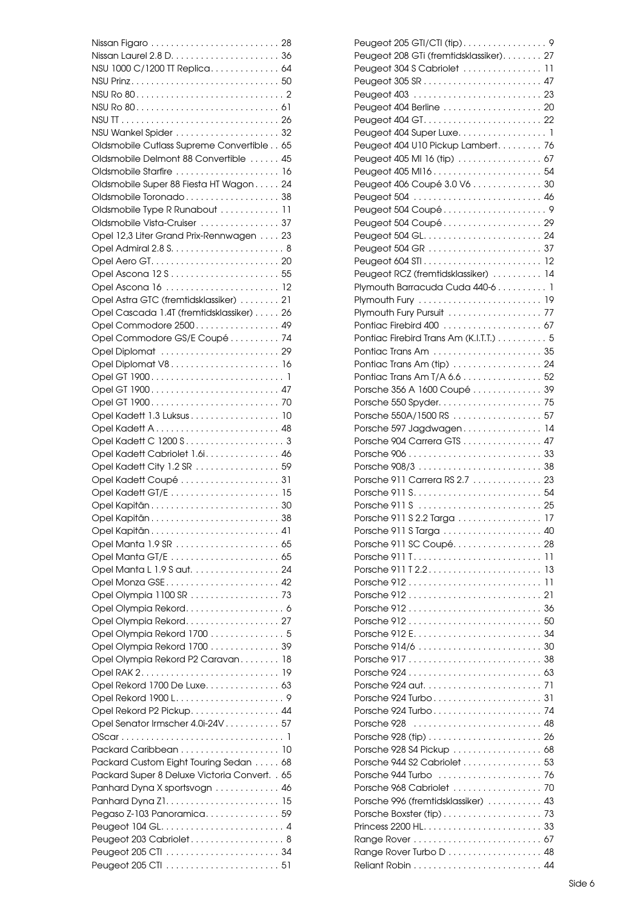| NSU 1000 C/1200 TT Replica 64                 |  |
|-----------------------------------------------|--|
|                                               |  |
|                                               |  |
|                                               |  |
|                                               |  |
|                                               |  |
|                                               |  |
| Oldsmobile Cutlass Supreme Convertible 65     |  |
| Oldsmobile Delmont 88 Convertible  45         |  |
| Oldsmobile Starfire  16                       |  |
| Oldsmobile Super 88 Fiesta HT Wagon 24        |  |
| Oldsmobile Toronado 38                        |  |
| Oldsmobile Type R Runabout  11                |  |
| Oldsmobile Vista-Cruiser  37                  |  |
| Opel 12,3 Liter Grand Prix-Rennwagen 23       |  |
|                                               |  |
|                                               |  |
|                                               |  |
|                                               |  |
|                                               |  |
| Opel Astra GTC (fremtidsklassiker) 21         |  |
| Opel Cascada 1.4T (fremtidsklassiker) 26      |  |
| Opel Commodore 2500 49                        |  |
| Opel Commodore GS/E Coupé 74                  |  |
| Opel Diplomat  29                             |  |
| Opel Diplomat V8 16                           |  |
|                                               |  |
| Opel GT 1900 47                               |  |
|                                               |  |
|                                               |  |
| Opel Kadett 1.3 Luksus 10                     |  |
|                                               |  |
|                                               |  |
| Opel Kadett Cabriolet 1.6i. 46                |  |
| Opel Kadett City 1.2 SR 59                    |  |
| Opel Kadett Coupé  31                         |  |
|                                               |  |
|                                               |  |
|                                               |  |
|                                               |  |
|                                               |  |
|                                               |  |
|                                               |  |
| Opel Manta L 1.9 S aut. 24                    |  |
| Opel Monza GSE 42                             |  |
| Opel Olympia 1100 SR  73                      |  |
|                                               |  |
| Opel Olympia Rekord. 27                       |  |
| Opel Olympia Rekord 1700 5                    |  |
| Opel Olympia Rekord 1700 39                   |  |
| Opel Olympia Rekord P2 Caravan 18             |  |
|                                               |  |
|                                               |  |
| Opel Rekord 1700 De Luxe 63                   |  |
|                                               |  |
| Opel Rekord P2 Pickup. 44                     |  |
| Opel Senator Irmscher 4.0i-24V 57             |  |
|                                               |  |
|                                               |  |
| Packard Custom Eight Touring Sedan 68         |  |
| Packard Super 8 Deluxe Victoria Convert. . 65 |  |
| Panhard Dyna X sportsvogn 46                  |  |
|                                               |  |
|                                               |  |
| Pegaso Z-103 Panoramica 59                    |  |
|                                               |  |
| Peugeot 203 Cabriolet 8                       |  |
|                                               |  |
|                                               |  |

| Peugeot 205 GTI/CTI (tip)9              |    |
|-----------------------------------------|----|
| Peugeot 208 GTi (fremtidsklassiker). 27 |    |
|                                         |    |
|                                         |    |
|                                         |    |
| Peugeot 404 Berline  20                 |    |
|                                         |    |
|                                         |    |
| Peugeot 404 U10 Pickup Lambert 76       |    |
| Peugeot 405 MI 16 (tip)  67             |    |
|                                         |    |
| Peugeot 406 Coupé 3.0 V6 30             |    |
|                                         |    |
| Peugeot 504 Coupé9                      |    |
| Peugeot 504 Coupé 29                    |    |
|                                         |    |
|                                         |    |
|                                         |    |
|                                         |    |
| Peugeot RCZ (fremtidsklassiker)  14     |    |
| Plymouth Barracuda Cuda 440-6 1         |    |
|                                         |    |
| Plymouth Fury Pursuit  77               |    |
| Pontiac Firebird 400  67                |    |
| Pontiac Firebird Trans Am (K.I.T.T.) 5  |    |
|                                         |    |
| Pontiac Trans Am (tip)  24              |    |
| Pontiac Trans Am T/A 6.6 52             |    |
| Porsche 356 A 1600 Coupé  39            |    |
|                                         |    |
| Porsche 550A/1500 RS  57                |    |
| Porsche 597 Jagdwagen 14                |    |
| Porsche 904 Carrera GTS 47              |    |
|                                         |    |
|                                         |    |
| Porsche 911 Carrera RS 2.7 23           |    |
|                                         |    |
|                                         |    |
| Porsche 911 S 2.2 Targa 17              |    |
|                                         |    |
|                                         |    |
| Porsche 911 SC Coupé 28                 |    |
|                                         | 11 |
|                                         | 13 |
|                                         | 11 |
|                                         |    |
|                                         |    |
|                                         |    |
| Porsche 912 E 34                        |    |
|                                         |    |
|                                         |    |
|                                         |    |
|                                         |    |
|                                         |    |
|                                         |    |
|                                         |    |
|                                         |    |
| Porsche 928 S4 Pickup  68               |    |
|                                         |    |
| Porsche 944 S2 Cabriolet  53            |    |
|                                         |    |
| Porsche 968 Cabriolet  70               |    |
| Porsche 996 (fremtidsklassiker)  43     |    |
|                                         |    |
|                                         |    |
|                                         |    |
| Range Rover Turbo D 48                  |    |
|                                         |    |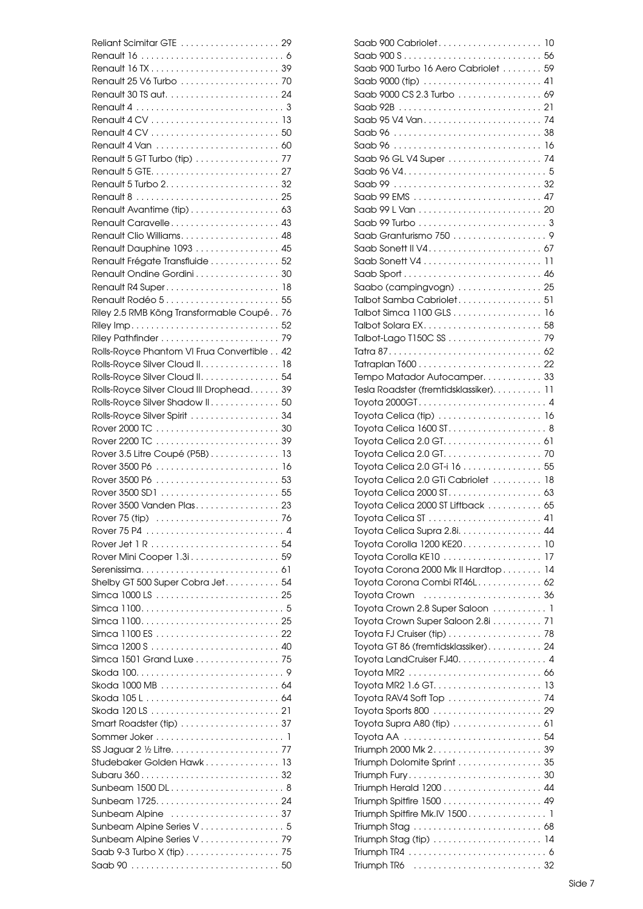| Renault 5 GT Turbo (tip) 77                |  |
|--------------------------------------------|--|
|                                            |  |
|                                            |  |
|                                            |  |
| Renault Avantime (tip)  63                 |  |
| Renault Caravelle 43                       |  |
| Renault Clio Williams 48                   |  |
| Renault Dauphine 1093 45                   |  |
| Renault Frégate Transfluide  52            |  |
| Renault Ondine Gordini30                   |  |
|                                            |  |
|                                            |  |
| Renault Rodéo 5 55                         |  |
| Riley 2.5 RMB Köng Transformable Coupé 76  |  |
|                                            |  |
|                                            |  |
| Rolls-Royce Phantom VI Frua Convertible 42 |  |
| Rolls-Royce Silver Cloud II. 18            |  |
| Rolls-Royce Silver Cloud II. 54            |  |
| Rolls-Royce Silver Cloud III Drophead 39   |  |
| Rolls-Royce Silver Shadow II. 50           |  |
| Rolls-Royce Silver Spirit  34              |  |
|                                            |  |
|                                            |  |
| Rover 3.5 Litre Coupé (P5B) 13             |  |
|                                            |  |
|                                            |  |
|                                            |  |
|                                            |  |
| Rover 3500 Vanden Plas 23                  |  |
|                                            |  |
|                                            |  |
|                                            |  |
|                                            |  |
| Rover Mini Cooper 1.3i. 59                 |  |
|                                            |  |
| Shelby GT 500 Super Cobra Jet 54           |  |
|                                            |  |
|                                            |  |
|                                            |  |
|                                            |  |
|                                            |  |
| Simca 1501 Grand Luxe 75                   |  |
|                                            |  |
| Skoda 1000 MB  64                          |  |
|                                            |  |
|                                            |  |
|                                            |  |
|                                            |  |
|                                            |  |
| Studebaker Golden Hawk 13                  |  |
|                                            |  |
| Sunbeam 1500 DL 8                          |  |
|                                            |  |
|                                            |  |
| Sunbeam Alpine Series V 5                  |  |
| Sunbeam Alpine Series V 79                 |  |
| Saab 9-3 Turbo X (tip) 75                  |  |

| Saab 900 Turbo 16 Aero Cabriolet 59    |    |
|----------------------------------------|----|
|                                        |    |
| Saab 9000 CS 2.3 Turbo 69              |    |
|                                        |    |
|                                        |    |
|                                        |    |
|                                        |    |
| Saab 96 GL V4 Super 74                 |    |
|                                        |    |
|                                        |    |
| Saab 99 EMS  47                        |    |
|                                        |    |
|                                        |    |
|                                        |    |
|                                        |    |
|                                        |    |
|                                        |    |
| Saabo (campingvogn)  25                |    |
|                                        |    |
| Talbot Samba Cabriolet 51              |    |
| Talbot Simca 1100 GLS 16               |    |
|                                        |    |
|                                        |    |
|                                        |    |
|                                        |    |
| Tempo Matador Autocamper. 33           |    |
| Tesla Roadster (fremtidsklassiker). 11 |    |
| Toyota 2000GT 4                        |    |
| Toyota Celica (tip)  16                |    |
| Toyota Celica 1600 ST 8                |    |
|                                        |    |
|                                        |    |
| Toyota Celica 2.0 GT-i 16 55           |    |
| Toyota Celica 2.0 GTi Cabriolet  18    |    |
|                                        |    |
| Toyota Celica 2000 ST Liftback  65     |    |
|                                        |    |
| Toyota Celica Supra 2.8i. 44           |    |
| Toyota Corolla 1200 KE20 10            |    |
| Toyota Corolla KE10                    | 17 |
| Toyota Corona 2000 Mk II Hardtop 14    |    |
| Toyota Corona Combi RT46L 62           |    |
|                                        |    |
| Toyota Crown 2.8 Super Saloon 1        |    |
| Toyota Crown Super Saloon 2.8i 71      |    |
|                                        |    |
| Toyota GT 86 (fremtidsklassiker) 24    |    |
| Toyota LandCruiser FJ40. 4             |    |
|                                        |    |
|                                        |    |
|                                        |    |
| Toyota RAV4 Soft Top  74               |    |
|                                        |    |
|                                        |    |
|                                        |    |
|                                        |    |
| Triumph Dolomite Sprint 35             |    |
|                                        |    |
|                                        |    |
|                                        |    |
| Triumph Spitfire Mk.IV 1500 1          |    |
|                                        |    |
| Triumph Stag (tip)  14                 |    |
|                                        |    |
|                                        |    |